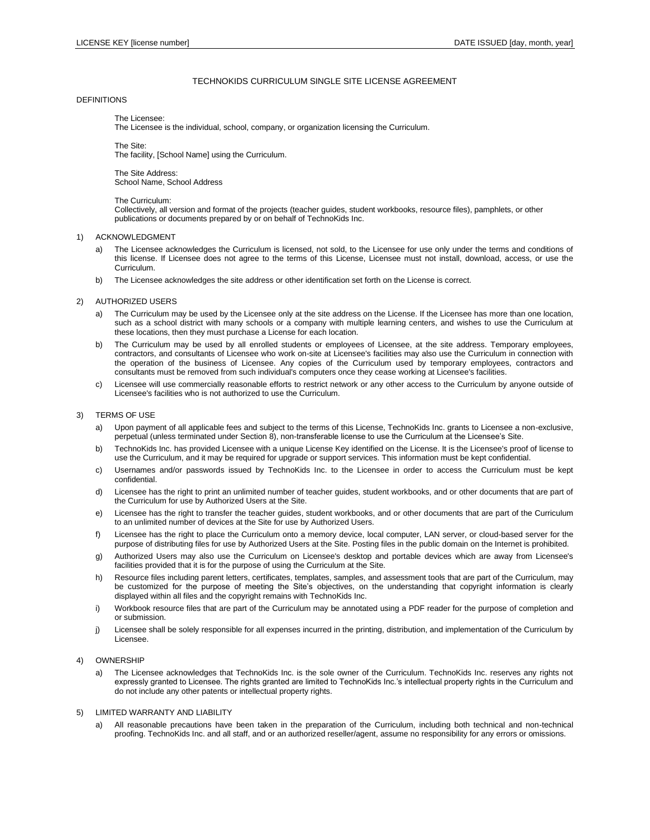# TECHNOKIDS CURRICULUM SINGLE SITE LICENSE AGREEMENT

# **DEFINITIONS**

The Licensee:

The Licensee is the individual, school, company, or organization licensing the Curriculum.

The Site: The facility, [School Name] using the Curriculum.

The Site Address: School Name, School Address

The Curriculum:

Collectively, all version and format of the projects (teacher guides, student workbooks, resource files), pamphlets, or other publications or documents prepared by or on behalf of TechnoKids Inc.

## 1) ACKNOWLEDGMENT

- a) The Licensee acknowledges the Curriculum is licensed, not sold, to the Licensee for use only under the terms and conditions of this license. If Licensee does not agree to the terms of this License, Licensee must not install, download, access, or use the Curriculum.
- b) The Licensee acknowledges the site address or other identification set forth on the License is correct.

## 2) AUTHORIZED USERS

- a) The Curriculum may be used by the Licensee only at the site address on the License. If the Licensee has more than one location, such as a school district with many schools or a company with multiple learning centers, and wishes to use the Curriculum at these locations, then they must purchase a License for each location.
- b) The Curriculum may be used by all enrolled students or employees of Licensee, at the site address. Temporary employees, contractors, and consultants of Licensee who work on-site at Licensee's facilities may also use the Curriculum in connection with the operation of the business of Licensee. Any copies of the Curriculum used by temporary employees, contractors and consultants must be removed from such individual's computers once they cease working at Licensee's facilities.
- c) Licensee will use commercially reasonable efforts to restrict network or any other access to the Curriculum by anyone outside of Licensee's facilities who is not authorized to use the Curriculum.

### 3) TERMS OF USE

- a) Upon payment of all applicable fees and subject to the terms of this License, TechnoKids Inc. grants to Licensee a non-exclusive, perpetual (unless terminated under Section 8), non-transferable license to use the Curriculum at the Licensee's Site.
- b) TechnoKids Inc. has provided Licensee with a unique License Key identified on the License. It is the Licensee's proof of license to use the Curriculum, and it may be required for upgrade or support services. This information must be kept confidential.
- c) Usernames and/or passwords issued by TechnoKids Inc. to the Licensee in order to access the Curriculum must be kept confidential.
- d) Licensee has the right to print an unlimited number of teacher guides, student workbooks, and or other documents that are part of the Curriculum for use by Authorized Users at the Site.
- e) Licensee has the right to transfer the teacher guides, student workbooks, and or other documents that are part of the Curriculum to an unlimited number of devices at the Site for use by Authorized Users.
- f) Licensee has the right to place the Curriculum onto a memory device, local computer, LAN server, or cloud-based server for the purpose of distributing files for use by Authorized Users at the Site. Posting files in the public domain on the Internet is prohibited.
- g) Authorized Users may also use the Curriculum on Licensee's desktop and portable devices which are away from Licensee's facilities provided that it is for the purpose of using the Curriculum at the Site.
- h) Resource files including parent letters, certificates, templates, samples, and assessment tools that are part of the Curriculum, may be customized for the purpose of meeting the Site's objectives, on the understanding that copyright information is clearly displayed within all files and the copyright remains with TechnoKids Inc.
- i) Workbook resource files that are part of the Curriculum may be annotated using a PDF reader for the purpose of completion and or submission.
- j) Licensee shall be solely responsible for all expenses incurred in the printing, distribution, and implementation of the Curriculum by Licensee.

# 4) OWNERSHIP

a) The Licensee acknowledges that TechnoKids Inc. is the sole owner of the Curriculum. TechnoKids Inc. reserves any rights not expressly granted to Licensee. The rights granted are limited to TechnoKids Inc.'s intellectual property rights in the Curriculum and do not include any other patents or intellectual property rights.

#### 5) LIMITED WARRANTY AND LIABILITY

a) All reasonable precautions have been taken in the preparation of the Curriculum, including both technical and non-technical proofing. TechnoKids Inc. and all staff, and or an authorized reseller/agent, assume no responsibility for any errors or omissions.